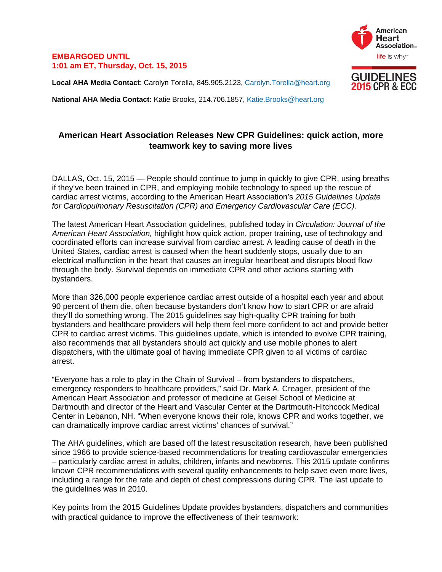### **EMBARGOED UNTIL 1:01 am ET, Thursday, Oct. 15, 2015**

**Local AHA Media Contact**: Carolyn Torella, 845.905.2123, Carolyn.Torella@heart.org

**National AHA Media Contact:** Katie Brooks, 214.706.1857, Katie.Brooks@heart.org

# **American Heart Association Releases New CPR Guidelines: quick action, more teamwork key to saving more lives**

DALLAS, Oct. 15, 2015 — People should continue to jump in quickly to give CPR, using breaths if they've been trained in CPR, and employing mobile technology to speed up the rescue of cardiac arrest victims, according to the American Heart Association's *2015 Guidelines Update for Cardiopulmonary Resuscitation (CPR) and Emergency Cardiovascular Care (ECC).* 

The latest American Heart Association guidelines, published today in *Circulation: Journal of the American Heart Association,* highlight how quick action, proper training, use of technology and coordinated efforts can increase survival from cardiac arrest. A leading cause of death in the United States, cardiac arrest is caused when the heart suddenly stops, usually due to an electrical malfunction in the heart that causes an irregular heartbeat and disrupts blood flow through the body. Survival depends on immediate CPR and other actions starting with bystanders.

More than 326,000 people experience cardiac arrest outside of a hospital each year and about 90 percent of them die, often because bystanders don't know how to start CPR or are afraid they'll do something wrong. The 2015 guidelines say high-quality CPR training for both bystanders and healthcare providers will help them feel more confident to act and provide better CPR to cardiac arrest victims. This guidelines update, which is intended to evolve CPR training, also recommends that all bystanders should act quickly and use mobile phones to alert dispatchers, with the ultimate goal of having immediate CPR given to all victims of cardiac arrest.

"Everyone has a role to play in the Chain of Survival – from bystanders to dispatchers, emergency responders to healthcare providers," said Dr. Mark A. Creager, president of the American Heart Association and professor of medicine at Geisel School of Medicine at Dartmouth and director of the Heart and Vascular Center at the Dartmouth-Hitchcock Medical Center in Lebanon, NH. "When everyone knows their role, knows CPR and works together, we can dramatically improve cardiac arrest victims' chances of survival."

The AHA guidelines, which are based off the latest resuscitation research, have been published since 1966 to provide science-based recommendations for treating cardiovascular emergencies – particularly cardiac arrest in adults, children, infants and newborns. This 2015 update confirms known CPR recommendations with several quality enhancements to help save even more lives, including a range for the rate and depth of chest compressions during CPR. The last update to the guidelines was in 2010.

Key points from the 2015 Guidelines Update provides bystanders, dispatchers and communities with practical quidance to improve the effectiveness of their teamwork:



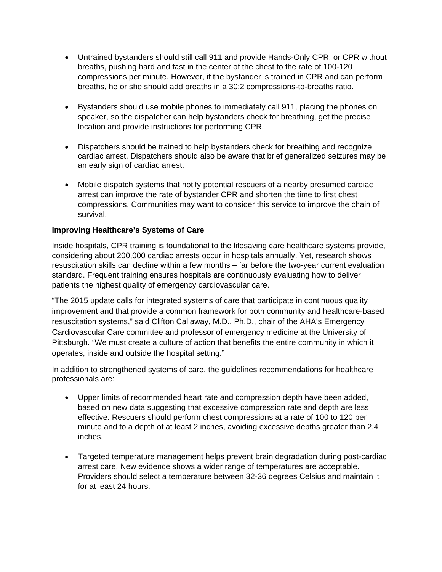- Untrained bystanders should still call 911 and provide Hands-Only CPR, or CPR without breaths, pushing hard and fast in the center of the chest to the rate of 100-120 compressions per minute. However, if the bystander is trained in CPR and can perform breaths, he or she should add breaths in a 30:2 compressions-to-breaths ratio.
- Bystanders should use mobile phones to immediately call 911, placing the phones on speaker, so the dispatcher can help bystanders check for breathing, get the precise location and provide instructions for performing CPR.
- Dispatchers should be trained to help bystanders check for breathing and recognize cardiac arrest. Dispatchers should also be aware that brief generalized seizures may be an early sign of cardiac arrest.
- Mobile dispatch systems that notify potential rescuers of a nearby presumed cardiac arrest can improve the rate of bystander CPR and shorten the time to first chest compressions. Communities may want to consider this service to improve the chain of survival.

## **Improving Healthcare's Systems of Care**

Inside hospitals, CPR training is foundational to the lifesaving care healthcare systems provide, considering about 200,000 cardiac arrests occur in hospitals annually. Yet, research shows resuscitation skills can decline within a few months – far before the two-year current evaluation standard. Frequent training ensures hospitals are continuously evaluating how to deliver patients the highest quality of emergency cardiovascular care.

"The 2015 update calls for integrated systems of care that participate in continuous quality improvement and that provide a common framework for both community and healthcare-based resuscitation systems," said Clifton Callaway, M.D., Ph.D., chair of the AHA's Emergency Cardiovascular Care committee and professor of emergency medicine at the University of Pittsburgh. "We must create a culture of action that benefits the entire community in which it operates, inside and outside the hospital setting."

In addition to strengthened systems of care, the guidelines recommendations for healthcare professionals are:

- Upper limits of recommended heart rate and compression depth have been added, based on new data suggesting that excessive compression rate and depth are less effective. Rescuers should perform chest compressions at a rate of 100 to 120 per minute and to a depth of at least 2 inches, avoiding excessive depths greater than 2.4 inches.
- Targeted temperature management helps prevent brain degradation during post-cardiac arrest care. New evidence shows a wider range of temperatures are acceptable. Providers should select a temperature between 32-36 degrees Celsius and maintain it for at least 24 hours.